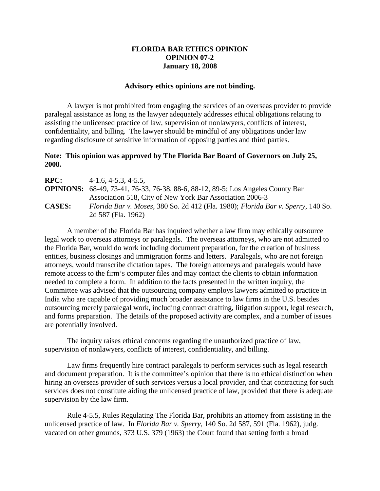## **FLORIDA BAR ETHICS OPINION OPINION 07-2 January 18, 2008**

## **Advisory ethics opinions are not binding.**

A lawyer is not prohibited from engaging the services of an overseas provider to provide paralegal assistance as long as the lawyer adequately addresses ethical obligations relating to assisting the unlicensed practice of law, supervision of nonlawyers, conflicts of interest, confidentiality, and billing. The lawyer should be mindful of any obligations under law regarding disclosure of sensitive information of opposing parties and third parties.

## **Note: This opinion was approved by The Florida Bar Board of Governors on July 25, 2008.**

| <b>RPC:</b>   | $4-1.6$ , $4-5.3$ , $4-5.5$ ,                                                          |
|---------------|----------------------------------------------------------------------------------------|
|               | <b>OPINIONS:</b> 68-49, 73-41, 76-33, 76-38, 88-6, 88-12, 89-5; Los Angeles County Bar |
|               | Association 518, City of New York Bar Association 2006-3                               |
| <b>CASES:</b> | Florida Bar v. Moses, 380 So. 2d 412 (Fla. 1980); Florida Bar v. Sperry, 140 So.       |
|               | 2d 587 (Fla. 1962)                                                                     |

A member of the Florida Bar has inquired whether a law firm may ethically outsource legal work to overseas attorneys or paralegals. The overseas attorneys, who are not admitted to the Florida Bar, would do work including document preparation, for the creation of business entities, business closings and immigration forms and letters. Paralegals, who are not foreign attorneys, would transcribe dictation tapes. The foreign attorneys and paralegals would have remote access to the firm's computer files and may contact the clients to obtain information needed to complete a form. In addition to the facts presented in the written inquiry, the Committee was advised that the outsourcing company employs lawyers admitted to practice in India who are capable of providing much broader assistance to law firms in the U.S. besides outsourcing merely paralegal work, including contract drafting, litigation support, legal research, and forms preparation. The details of the proposed activity are complex, and a number of issues are potentially involved.

The inquiry raises ethical concerns regarding the unauthorized practice of law, supervision of nonlawyers, conflicts of interest, confidentiality, and billing.

Law firms frequently hire contract paralegals to perform services such as legal research and document preparation. It is the committee's opinion that there is no ethical distinction when hiring an overseas provider of such services versus a local provider, and that contracting for such services does not constitute aiding the unlicensed practice of law, provided that there is adequate supervision by the law firm.

Rule 4-5.5, Rules Regulating The Florida Bar, prohibits an attorney from assisting in the unlicensed practice of law. In *Florida Bar v. Sperry*, 140 So. 2d 587, 591 (Fla. 1962), judg. vacated on other grounds, 373 U.S. 379 (1963) the Court found that setting forth a broad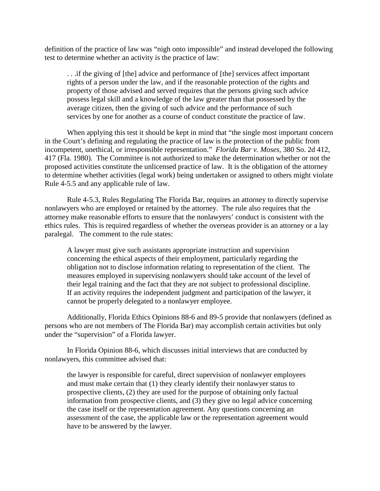definition of the practice of law was "nigh onto impossible" and instead developed the following test to determine whether an activity is the practice of law:

. . .if the giving of [the] advice and performance of [the] services affect important rights of a person under the law, and if the reasonable protection of the rights and property of those advised and served requires that the persons giving such advice possess legal skill and a knowledge of the law greater than that possessed by the average citizen, then the giving of such advice and the performance of such services by one for another as a course of conduct constitute the practice of law.

When applying this test it should be kept in mind that "the single most important concern in the Court's defining and regulating the practice of law is the protection of the public from incompetent, unethical, or irresponsible representation." *Florida Bar v. Moses*, 380 So. 2d 412, 417 (Fla. 1980). The Committee is not authorized to make the determination whether or not the proposed activities constitute the unlicensed practice of law. It is the obligation of the attorney to determine whether activities (legal work) being undertaken or assigned to others might violate Rule 4-5.5 and any applicable rule of law.

Rule 4-5.3, Rules Regulating The Florida Bar, requires an attorney to directly supervise nonlawyers who are employed or retained by the attorney. The rule also requires that the attorney make reasonable efforts to ensure that the nonlawyers' conduct is consistent with the ethics rules. This is required regardless of whether the overseas provider is an attorney or a lay paralegal.The comment to the rule states:

A lawyer must give such assistants appropriate instruction and supervision concerning the ethical aspects of their employment, particularly regarding the obligation not to disclose information relating to representation of the client. The measures employed in supervising nonlawyers should take account of the level of their legal training and the fact that they are not subject to professional discipline. If an activity requires the independent judgment and participation of the lawyer, it cannot be properly delegated to a nonlawyer employee.

Additionally, Florida Ethics Opinions 88-6 and 89-5 provide that nonlawyers (defined as persons who are not members of The Florida Bar) may accomplish certain activities but only under the "supervision" of a Florida lawyer.

In Florida Opinion 88-6, which discusses initial interviews that are conducted by nonlawyers, this committee advised that:

the lawyer is responsible for careful, direct supervision of nonlawyer employees and must make certain that (1) they clearly identify their nonlawyer status to prospective clients, (2) they are used for the purpose of obtaining only factual information from prospective clients, and (3) they give no legal advice concerning the case itself or the representation agreement. Any questions concerning an assessment of the case, the applicable law or the representation agreement would have to be answered by the lawyer.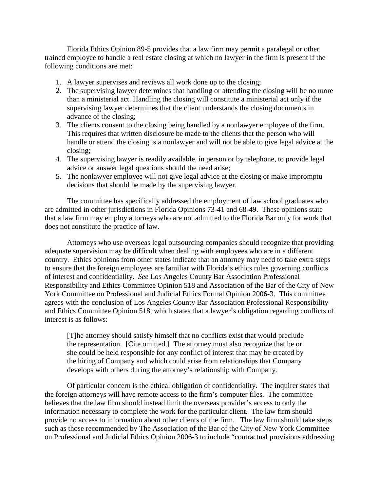Florida Ethics Opinion 89-5 provides that a law firm may permit a paralegal or other trained employee to handle a real estate closing at which no lawyer in the firm is present if the following conditions are met:

- 1. A lawyer supervises and reviews all work done up to the closing;
- 2. The supervising lawyer determines that handling or attending the closing will be no more than a ministerial act. Handling the closing will constitute a ministerial act only if the supervising lawyer determines that the client understands the closing documents in advance of the closing;
- 3. The clients consent to the closing being handled by a nonlawyer employee of the firm. This requires that written disclosure be made to the clients that the person who will handle or attend the closing is a nonlawyer and will not be able to give legal advice at the closing;
- 4. The supervising lawyer is readily available, in person or by telephone, to provide legal advice or answer legal questions should the need arise;
- 5. The nonlawyer employee will not give legal advice at the closing or make impromptu decisions that should be made by the supervising lawyer.

The committee has specifically addressed the employment of law school graduates who are admitted in other jurisdictions in Florida Opinions 73-41 and 68-49. These opinions state that a law firm may employ attorneys who are not admitted to the Florida Bar only for work that does not constitute the practice of law.

Attorneys who use overseas legal outsourcing companies should recognize that providing adequate supervision may be difficult when dealing with employees who are in a different country. Ethics opinions from other states indicate that an attorney may need to take extra steps to ensure that the foreign employees are familiar with Florida's ethics rules governing conflicts of interest and confidentiality. *See* Los Angeles County Bar Association Professional Responsibility and Ethics Committee Opinion 518 and Association of the Bar of the City of New York Committee on Professional and Judicial Ethics Formal Opinion 2006-3. This committee agrees with the conclusion of Los Angeles County Bar Association Professional Responsibility and Ethics Committee Opinion 518, which states that a lawyer's obligation regarding conflicts of interest is as follows:

[T]he attorney should satisfy himself that no conflicts exist that would preclude the representation. [Cite omitted.] The attorney must also recognize that he or she could be held responsible for any conflict of interest that may be created by the hiring of Company and which could arise from relationships that Company develops with others during the attorney's relationship with Company.

Of particular concern is the ethical obligation of confidentiality. The inquirer states that the foreign attorneys will have remote access to the firm's computer files. The committee believes that the law firm should instead limit the overseas provider's access to only the information necessary to complete the work for the particular client. The law firm should provide no access to information about other clients of the firm. The law firm should take steps such as those recommended by The Association of the Bar of the City of New York Committee on Professional and Judicial Ethics Opinion 2006-3 to include "contractual provisions addressing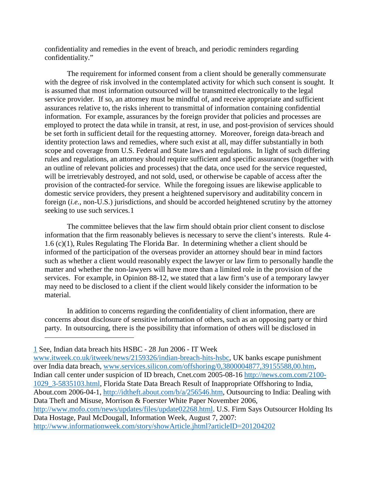confidentiality and remedies in the event of breach, and periodic reminders regarding confidentiality."

The requirement for informed consent from a client should be generally commensurate with the degree of risk involved in the contemplated activity for which such consent is sought. It is assumed that most information outsourced will be transmitted electronically to the legal service provider. If so, an attorney must be mindful of, and receive appropriate and sufficient assurances relative to, the risks inherent to transmittal of information containing confidential information. For example, assurances by the foreign provider that policies and processes are employed to protect the data while in transit, at rest, in use, and post-provision of services should be set forth in sufficient detail for the requesting attorney. Moreover, foreign data-breach and identity protection laws and remedies, where such exist at all, may differ substantially in both scope and coverage from U.S. Federal and State laws and regulations. In light of such differing rules and regulations, an attorney should require sufficient and specific assurances (together with an outline of relevant policies and processes) that the data, once used for the service requested, will be irretrievably destroyed, and not sold, used, or otherwise be capable of access after the provision of the contracted-for service. While the foregoing issues are likewise applicable to domestic service providers, they present a heightened supervisory and auditability concern in foreign (*i.e.,* non-U.S.) jurisdictions, and should be accorded heightened scrutiny by the attorney seeking to use such services.[1](#page-3-0)

The committee believes that the law firm should obtain prior client consent to disclose information that the firm reasonably believes is necessary to serve the client's interests. Rule 4- 1.6 (c)(1), Rules Regulating The Florida Bar. In determining whether a client should be informed of the participation of the overseas provider an attorney should bear in mind factors such as whether a client would reasonably expect the lawyer or law firm to personally handle the matter and whether the non-lawyers will have more than a limited role in the provision of the services. For example, in Opinion 88-12, we stated that a law firm's use of a temporary lawyer may need to be disclosed to a client if the client would likely consider the information to be material.

In addition to concerns regarding the confidentiality of client information, there are concerns about disclosure of sensitive information of others, such as an opposing party or third party. In outsourcing, there is the possibility that information of others will be disclosed in

<span id="page-3-0"></span>1 See, Indian data breach hits HSBC - 28 Jun 2006 - IT Week

 $\overline{a}$ 

[www.itweek.co.uk/itweek/news/2159326/indian-breach-hits-hsbc,](http://www.itweek.co.uk/itweek/news/2159326/indian-breach-hits-hsbc) UK banks escape punishment over India data breach, [www.services.silicon.com/offshoring/0,3800004877,39155588,00.htm,](http://www.services.silicon.com/offshoring/0,3800004877,39155588,00.htm) Indian call center under suspicion of ID breach, Cnet.com 2005-08-16 [http://news.com.com/2100-](http://news.com.com/2100-1029_3-5835103.html) [1029\\_3-5835103.html,](http://news.com.com/2100-1029_3-5835103.html) Florida State Data Breach Result of Inappropriate Offshoring to India, About.com 2006-04-1, [http://idtheft.about.com/b/a/256546.htm,](http://idtheft.about.com/b/a/256546.htm) Outsourcing to India: Dealing with Data Theft and Misuse, Morrison & Foerster White Paper November 2006, [http://www.mofo.com/news/updates/files/update02268.html.](http://www.mofo.com/news/updates/files/update02268.html) U.S. Firm Says Outsourcer Holding Its Data Hostage, Paul McDougall, Information Week, August 7, 2007: <http://www.informationweek.com/story/showArticle.jhtml?articleID=201204202>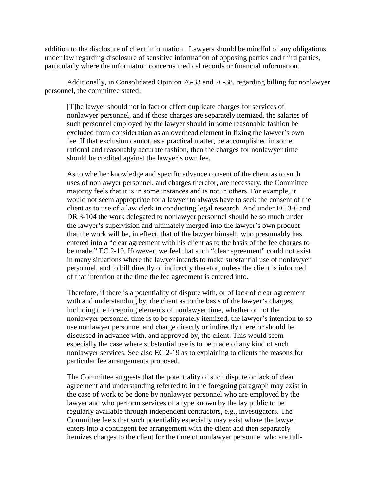addition to the disclosure of client information. Lawyers should be mindful of any obligations under law regarding disclosure of sensitive information of opposing parties and third parties, particularly where the information concerns medical records or financial information.

Additionally, in Consolidated Opinion 76-33 and 76-38, regarding billing for nonlawyer personnel, the committee stated:

[T]he lawyer should not in fact or effect duplicate charges for services of nonlawyer personnel, and if those charges are separately itemized, the salaries of such personnel employed by the lawyer should in some reasonable fashion be excluded from consideration as an overhead element in fixing the lawyer's own fee. If that exclusion cannot, as a practical matter, be accomplished in some rational and reasonably accurate fashion, then the charges for nonlawyer time should be credited against the lawyer's own fee.

As to whether knowledge and specific advance consent of the client as to such uses of nonlawyer personnel, and charges therefor, are necessary, the Committee majority feels that it is in some instances and is not in others. For example, it would not seem appropriate for a lawyer to always have to seek the consent of the client as to use of a law clerk in conducting legal research. And under EC 3-6 and DR 3-104 the work delegated to nonlawyer personnel should be so much under the lawyer's supervision and ultimately merged into the lawyer's own product that the work will be, in effect, that of the lawyer himself, who presumably has entered into a "clear agreement with his client as to the basis of the fee charges to be made." EC 2-19. However, we feel that such "clear agreement" could not exist in many situations where the lawyer intends to make substantial use of nonlawyer personnel, and to bill directly or indirectly therefor, unless the client is informed of that intention at the time the fee agreement is entered into.

Therefore, if there is a potentiality of dispute with, or of lack of clear agreement with and understanding by, the client as to the basis of the lawyer's charges, including the foregoing elements of nonlawyer time, whether or not the nonlawyer personnel time is to be separately itemized, the lawyer's intention to so use nonlawyer personnel and charge directly or indirectly therefor should be discussed in advance with, and approved by, the client. This would seem especially the case where substantial use is to be made of any kind of such nonlawyer services. See also EC 2-19 as to explaining to clients the reasons for particular fee arrangements proposed.

The Committee suggests that the potentiality of such dispute or lack of clear agreement and understanding referred to in the foregoing paragraph may exist in the case of work to be done by nonlawyer personnel who are employed by the lawyer and who perform services of a type known by the lay public to be regularly available through independent contractors, e.g., investigators. The Committee feels that such potentiality especially may exist where the lawyer enters into a contingent fee arrangement with the client and then separately itemizes charges to the client for the time of nonlawyer personnel who are full-